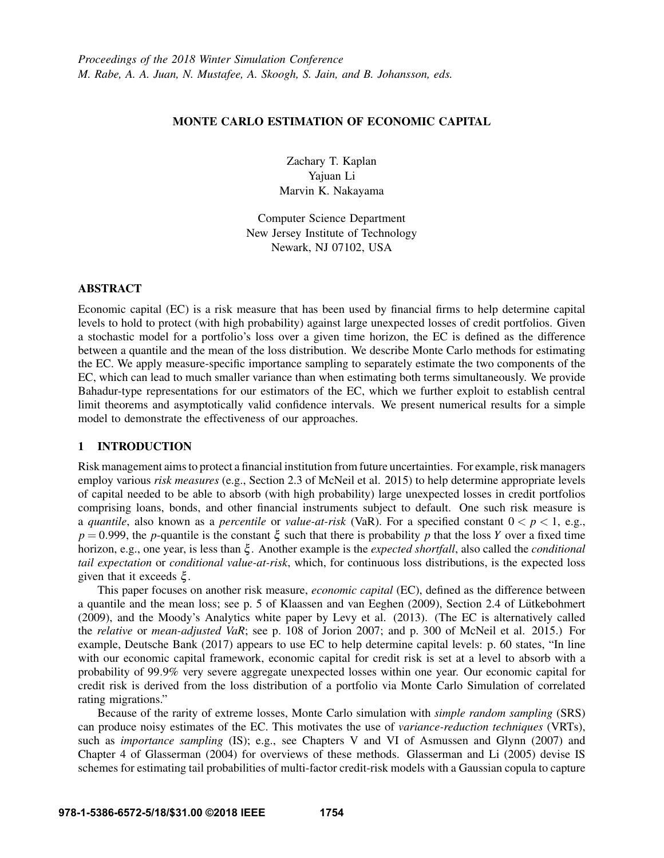## MONTE CARLO ESTIMATION OF ECONOMIC CAPITAL

Zachary T. Kaplan Yajuan Li Marvin K. Nakayama

Computer Science Department New Jersey Institute of Technology Newark, NJ 07102, USA

### ABSTRACT

Economic capital (EC) is a risk measure that has been used by financial firms to help determine capital levels to hold to protect (with high probability) against large unexpected losses of credit portfolios. Given a stochastic model for a portfolio's loss over a given time horizon, the EC is defined as the difference between a quantile and the mean of the loss distribution. We describe Monte Carlo methods for estimating the EC. We apply measure-specific importance sampling to separately estimate the two components of the EC, which can lead to much smaller variance than when estimating both terms simultaneously. We provide Bahadur-type representations for our estimators of the EC, which we further exploit to establish central limit theorems and asymptotically valid confidence intervals. We present numerical results for a simple model to demonstrate the effectiveness of our approaches.

# 1 INTRODUCTION

Risk management aims to protect a financial institution from future uncertainties. For example, risk managers employ various *risk measures* (e.g., Section 2.3 of McNeil et al. 2015) to help determine appropriate levels of capital needed to be able to absorb (with high probability) large unexpected losses in credit portfolios comprising loans, bonds, and other financial instruments subject to default. One such risk measure is a *quantile*, also known as a *percentile* or *value-at-risk* (VaR). For a specified constant  $0 < p < 1$ , e.g.,  $p = 0.999$ , the *p*-quantile is the constant  $\xi$  such that there is probability *p* that the loss *Y* over a fixed time horizon, e.g., one year, is less than ξ . Another example is the *expected shortfall*, also called the *conditional tail expectation* or *conditional value-at-risk*, which, for continuous loss distributions, is the expected loss given that it exceeds ξ .

This paper focuses on another risk measure, *economic capital* (EC), defined as the difference between a quantile and the mean loss; see p. 5 of Klaassen and van Eeghen (2009), Section 2.4 of Lütkebohmert (2009), and the Moody's Analytics white paper by Levy et al. (2013). (The EC is alternatively called the *relative* or *mean-adjusted VaR*; see p. 108 of Jorion 2007; and p. 300 of McNeil et al. 2015.) For example, Deutsche Bank (2017) appears to use EC to help determine capital levels: p. 60 states, "In line with our economic capital framework, economic capital for credit risk is set at a level to absorb with a probability of 99.9% very severe aggregate unexpected losses within one year. Our economic capital for credit risk is derived from the loss distribution of a portfolio via Monte Carlo Simulation of correlated rating migrations."

Because of the rarity of extreme losses, Monte Carlo simulation with *simple random sampling* (SRS) can produce noisy estimates of the EC. This motivates the use of *variance-reduction techniques* (VRTs), such as *importance sampling* (IS); e.g., see Chapters V and VI of Asmussen and Glynn (2007) and Chapter 4 of Glasserman (2004) for overviews of these methods. Glasserman and Li (2005) devise IS schemes for estimating tail probabilities of multi-factor credit-risk models with a Gaussian copula to capture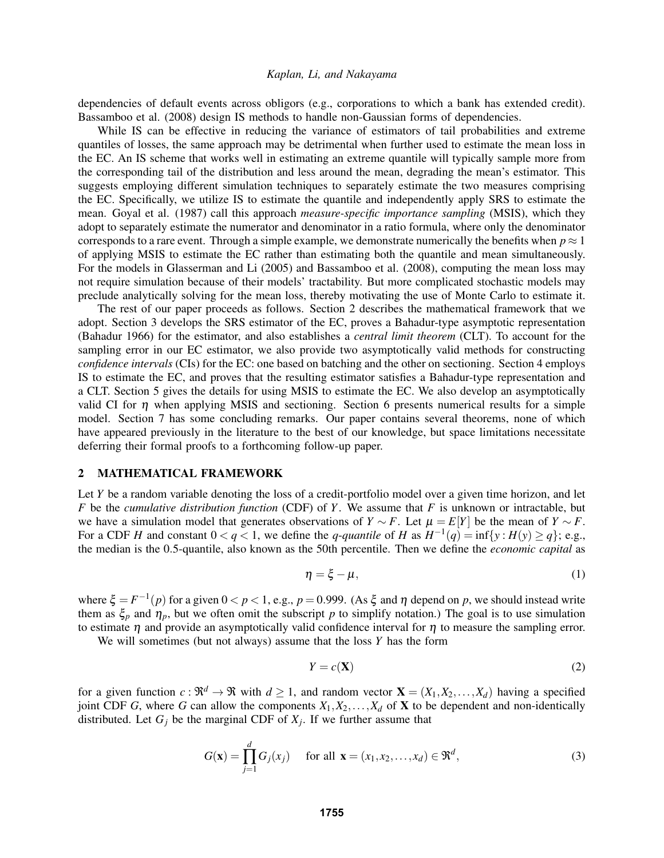dependencies of default events across obligors (e.g., corporations to which a bank has extended credit). Bassamboo et al. (2008) design IS methods to handle non-Gaussian forms of dependencies.

While IS can be effective in reducing the variance of estimators of tail probabilities and extreme quantiles of losses, the same approach may be detrimental when further used to estimate the mean loss in the EC. An IS scheme that works well in estimating an extreme quantile will typically sample more from the corresponding tail of the distribution and less around the mean, degrading the mean's estimator. This suggests employing different simulation techniques to separately estimate the two measures comprising the EC. Specifically, we utilize IS to estimate the quantile and independently apply SRS to estimate the mean. Goyal et al. (1987) call this approach *measure-specific importance sampling* (MSIS), which they adopt to separately estimate the numerator and denominator in a ratio formula, where only the denominator corresponds to a rare event. Through a simple example, we demonstrate numerically the benefits when  $p \approx 1$ of applying MSIS to estimate the EC rather than estimating both the quantile and mean simultaneously. For the models in Glasserman and Li (2005) and Bassamboo et al. (2008), computing the mean loss may not require simulation because of their models' tractability. But more complicated stochastic models may preclude analytically solving for the mean loss, thereby motivating the use of Monte Carlo to estimate it.

The rest of our paper proceeds as follows. Section 2 describes the mathematical framework that we adopt. Section 3 develops the SRS estimator of the EC, proves a Bahadur-type asymptotic representation (Bahadur 1966) for the estimator, and also establishes a *central limit theorem* (CLT). To account for the sampling error in our EC estimator, we also provide two asymptotically valid methods for constructing *confidence intervals* (CIs) for the EC: one based on batching and the other on sectioning. Section 4 employs IS to estimate the EC, and proves that the resulting estimator satisfies a Bahadur-type representation and a CLT. Section 5 gives the details for using MSIS to estimate the EC. We also develop an asymptotically valid CI for  $\eta$  when applying MSIS and sectioning. Section 6 presents numerical results for a simple model. Section 7 has some concluding remarks. Our paper contains several theorems, none of which have appeared previously in the literature to the best of our knowledge, but space limitations necessitate deferring their formal proofs to a forthcoming follow-up paper.

### 2 MATHEMATICAL FRAMEWORK

Let *Y* be a random variable denoting the loss of a credit-portfolio model over a given time horizon, and let *F* be the *cumulative distribution function* (CDF) of *Y*. We assume that *F* is unknown or intractable, but we have a simulation model that generates observations of  $Y \sim F$ . Let  $\mu = E[Y]$  be the mean of  $Y \sim F$ . For a CDF *H* and constant  $0 < q < 1$ , we define the *q*-*quantile* of *H* as  $H^{-1}(q) = \inf\{y : H(y) \ge q\}$ ; e.g., the median is the 0.5-quantile, also known as the 50th percentile. Then we define the *economic capital* as

$$
\eta = \xi - \mu,\tag{1}
$$

where  $\xi = F^{-1}(p)$  for a given  $0 < p < 1$ , e.g.,  $p = 0.999$ . (As  $\xi$  and  $\eta$  depend on  $p$ , we should instead write them as  $\xi_p$  and  $\eta_p$ , but we often omit the subscript *p* to simplify notation.) The goal is to use simulation to estimate  $\eta$  and provide an asymptotically valid confidence interval for  $\eta$  to measure the sampling error.

We will sometimes (but not always) assume that the loss *Y* has the form

$$
Y = c(\mathbf{X})\tag{2}
$$

for a given function  $c : \mathbb{R}^d \to \mathbb{R}$  with  $d \ge 1$ , and random vector  $\mathbf{X} = (X_1, X_2, \dots, X_d)$  having a specified joint CDF *G*, where *G* can allow the components  $X_1, X_2, \ldots, X_d$  of **X** to be dependent and non-identically distributed. Let  $G_j$  be the marginal CDF of  $X_j$ . If we further assume that

$$
G(\mathbf{x}) = \prod_{j=1}^{d} G_j(x_j) \quad \text{for all } \mathbf{x} = (x_1, x_2, \dots, x_d) \in \mathfrak{R}^d,
$$
 (3)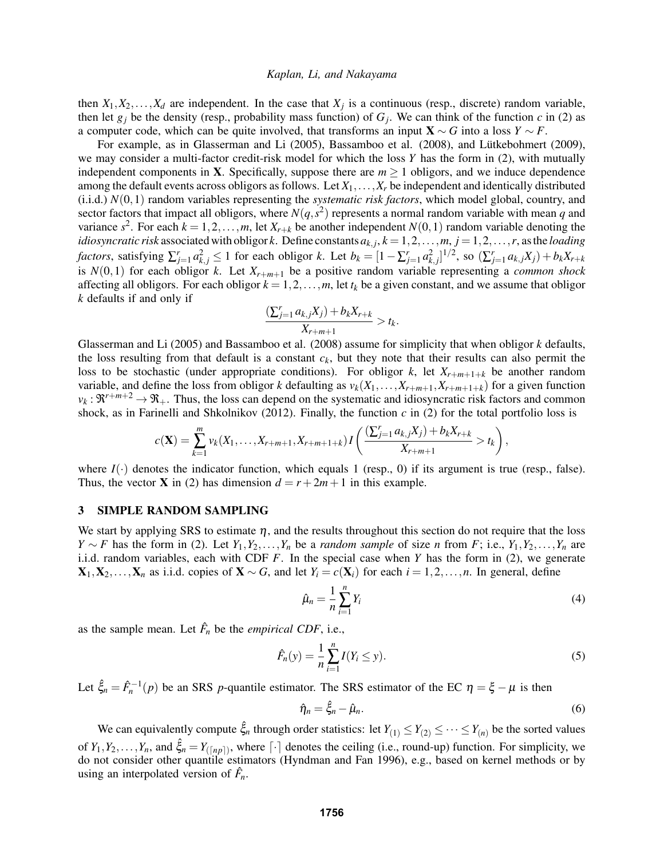then  $X_1, X_2, \ldots, X_d$  are independent. In the case that  $X_j$  is a continuous (resp., discrete) random variable, then let  $g_j$  be the density (resp., probability mass function) of  $G_j$ . We can think of the function *c* in (2) as a computer code, which can be quite involved, that transforms an input  $X \sim G$  into a loss  $Y \sim F$ .

For example, as in Glasserman and Li  $(2005)$ , Bassamboo et al.  $(2008)$ , and Lütkebohmert  $(2009)$ , we may consider a multi-factor credit-risk model for which the loss *Y* has the form in (2), with mutually independent components in **X**. Specifically, suppose there are  $m \ge 1$  obligors, and we induce dependence among the default events across obligors as follows. Let  $X_1, \ldots, X_r$  be independent and identically distributed (i.i.d.) *N*(0,1) random variables representing the *systematic risk factors*, which model global, country, and sector factors that impact all obligors, where  $N(q, s^2)$  represents a normal random variable with mean *q* and variance  $s^2$ . For each  $k = 1, 2, ..., m$ , let  $X_{r+k}$  be another independent  $N(0, 1)$  random variable denoting the *idiosyncratic risk* associated with obligor *k*. Define constants  $a_{k,j}$ ,  $k = 1, 2, ..., m$ ,  $j = 1, 2, ..., r$ , as the *loading factors*, satisfying  $\sum_{j=1}^r a_{k,j}^2 \le 1$  for each obligor k. Let  $b_k = [1 - \sum_{j=1}^r a_{k,j}^2]^{1/2}$ , so  $(\sum_{j=1}^r a_{k,j}X_j) + b_kX_{r+k}$ is  $N(0,1)$  for each obligor *k*. Let  $X_{r+m+1}$  be a positive random variable representing a *common shock* affecting all obligors. For each obligor  $k = 1, 2, \ldots, m$ , let  $t_k$  be a given constant, and we assume that obligor *k* defaults if and only if

$$
\frac{(\sum_{j=1}^{r} a_{k,j}X_j) + b_k X_{r+k}}{X_{r+m+1}} > t_k.
$$

Glasserman and Li (2005) and Bassamboo et al. (2008) assume for simplicity that when obligor *k* defaults, the loss resulting from that default is a constant  $c_k$ , but they note that their results can also permit the loss to be stochastic (under appropriate conditions). For obligor  $k$ , let  $X_{r+m+1+k}$  be another random variable, and define the loss from obligor *k* defaulting as  $v_k(X_1, \ldots, X_{r+m+1}, X_{r+m+1+k})$  for a given function  $v_k : \mathfrak{R}^{r+m+2} \to \mathfrak{R}_+$ . Thus, the loss can depend on the systematic and idiosyncratic risk factors and common shock, as in Farinelli and Shkolnikov (2012). Finally, the function *c* in (2) for the total portfolio loss is

$$
c(\mathbf{X}) = \sum_{k=1}^{m} v_k(X_1, \ldots, X_{r+m+1}, X_{r+m+1+k}) I\left(\frac{(\sum_{j=1}^{r} a_{k,j} X_j) + b_k X_{r+k}}{X_{r+m+1}} > t_k\right),
$$

where  $I(\cdot)$  denotes the indicator function, which equals 1 (resp., 0) if its argument is true (resp., false). Thus, the vector **X** in (2) has dimension  $d = r + 2m + 1$  in this example.

### 3 SIMPLE RANDOM SAMPLING

We start by applying SRS to estimate  $\eta$ , and the results throughout this section do not require that the loss *Y* ∼ *F* has the form in (2). Let *Y*<sub>1</sub>,*Y*<sub>2</sub>,...,*Y<sub>n</sub>* be a *random sample* of size *n* from *F*; i.e., *Y*<sub>1</sub>,*Y*<sub>2</sub>,...,*Y<sub>n</sub>* are i.i.d. random variables, each with CDF *F*. In the special case when *Y* has the form in (2), we generate  $X_1, X_2, \ldots, X_n$  as i.i.d. copies of  $X \sim G$ , and let  $Y_i = c(X_i)$  for each  $i = 1, 2, \ldots, n$ . In general, define

$$
\hat{\mu}_n = \frac{1}{n} \sum_{i=1}^n Y_i \tag{4}
$$

as the sample mean. Let  $\hat{F}_n$  be the *empirical CDF*, i.e.,

$$
\hat{F}_n(y) = \frac{1}{n} \sum_{i=1}^n I(Y_i \le y).
$$
\n(5)

Let  $\hat{\xi}_n = \hat{F}_n^{-1}(p)$  be an SRS *p*-quantile estimator. The SRS estimator of the EC  $\eta = \xi - \mu$  is then

$$
\hat{\eta}_n = \hat{\xi}_n - \hat{\mu}_n. \tag{6}
$$

We can equivalently compute  $\hat{\xi}_n$  through order statistics: let  $Y_{(1)} \leq Y_{(2)} \leq \cdots \leq Y_{(n)}$  be the sorted values of  $Y_1, Y_2, \ldots, Y_n$ , and  $\hat{\xi}_n = Y_{(\lceil np \rceil)}$ , where  $\lceil \cdot \rceil$  denotes the ceiling (i.e., round-up) function. For simplicity, we do not consider other quantile estimators (Hyndman and Fan 1996), e.g., based on kernel methods or by using an interpolated version of  $\hat{F}_n$ .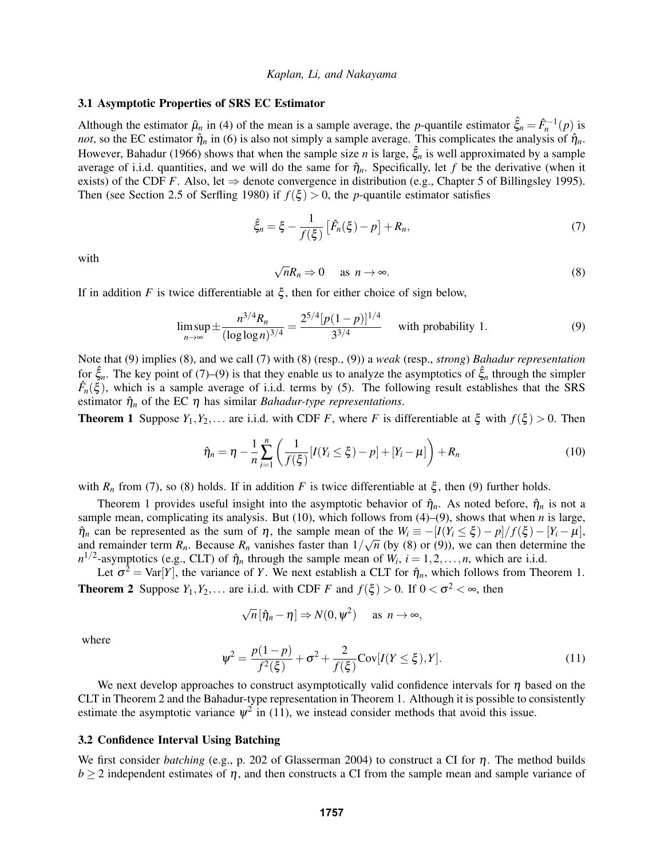# 3.1 Asymptotic Properties of SRS EC Estimator

Although the estimator  $\hat{\mu}_n$  in (4) of the mean is a sample average, the *p*-quantile estimator  $\hat{\xi}_n = \hat{F}_n^{-1}(p)$  is *not*, so the EC estimator  $\hat{\eta}_n$  in (6) is also not simply a sample average. This complicates the analysis of  $\hat{\eta}_n$ . However, Bahadur (1966) shows that when the sample size *n* is large,  $\hat{\xi}_n$  is well approximated by a sample average of i.i.d. quantities, and we will do the same for  $\hat{\eta}_n$ . Specifically, let f be the derivative (when it exists) of the CDF *F*. Also, let  $\Rightarrow$  denote convergence in distribution (e.g., Chapter 5 of Billingsley 1995). Then (see Section 2.5 of Serfling 1980) if  $f(\xi) > 0$ , the *p*-quantile estimator satisfies

$$
\hat{\xi}_n = \xi - \frac{1}{f(\xi)} \left[ \hat{F}_n(\xi) - p \right] + R_n, \tag{7}
$$

with

$$
\sqrt{n}R_n \Rightarrow 0 \quad \text{as } n \to \infty. \tag{8}
$$

If in addition *F* is twice differentiable at  $\xi$ , then for either choice of sign below,

$$
\limsup_{n \to \infty} \pm \frac{n^{3/4} R_n}{(\log \log n)^{3/4}} = \frac{2^{5/4} [p(1-p)]^{1/4}}{3^{3/4}} \quad \text{with probability 1.}
$$
 (9)

Note that (9) implies (8), and we call (7) with (8) (resp., (9)) a *weak* (resp., *strong*) *Bahadur representation* for  $\hat{\xi}_n$ . The key point of (7)–(9) is that they enable us to analyze the asymptotics of  $\hat{\xi}_n$  through the simpler  $\hat{F}_n(\xi)$ , which is a sample average of i.i.d. terms by (5). The following result establishes that the SRS estimator  $\hat{\eta}_n$  of the EC  $\eta$  has similar *Bahadur-type representations*.

**Theorem 1** Suppose  $Y_1, Y_2,...$  are i.i.d. with CDF *F*, where *F* is differentiable at  $\xi$  with  $f(\xi) > 0$ . Then

$$
\hat{\eta}_n = \eta - \frac{1}{n} \sum_{i=1}^n \left( \frac{1}{f(\xi)} [I(Y_i \le \xi) - p] + [Y_i - \mu] \right) + R_n \tag{10}
$$

with  $R_n$  from (7), so (8) holds. If in addition *F* is twice differentiable at  $\xi$ , then (9) further holds.

Theorem 1 provides useful insight into the asymptotic behavior of  $\hat{\eta}_n$ . As noted before,  $\hat{\eta}_n$  is not a sample mean, complicating its analysis. But (10), which follows from (4)–(9), shows that when *n* is large,  $\hat{\eta}_n$  can be represented as the sum of  $\eta$ , the sample mean of the  $W_i \equiv -[I(Y_i \le \xi) - p]/f(\xi) - [Y_i - \mu]$ , and remainder term  $R_n$ . Because  $R_n$  vanishes faster than  $1/\sqrt{n}$  (by (8) or (9)), we can then determine the  $n^{1/2}$ -asymptotics (e.g., CLT) of  $\hat{\eta}_n$  through the sample mean of  $W_i$ ,  $i = 1, 2, ..., n$ , which are i.i.d.

Let  $\sigma^2 = \text{Var}[Y]$ , the variance of *Y*. We next establish a CLT for  $\hat{\eta}_n$ , which follows from Theorem 1. **Theorem 2** Suppose  $Y_1, Y_2, \ldots$  are i.i.d. with CDF *F* and  $f(\xi) > 0$ . If  $0 < \sigma^2 < \infty$ , then

$$
\sqrt{n} \left[ \hat{\eta}_n - \eta \right] \Rightarrow N(0, \psi^2) \quad \text{as } n \to \infty,
$$

where

$$
\psi^2 = \frac{p(1-p)}{f^2(\xi)} + \sigma^2 + \frac{2}{f(\xi)} \text{Cov}[I(Y \le \xi), Y].
$$
\n(11)

We next develop approaches to construct asymptotically valid confidence intervals for  $\eta$  based on the CLT in Theorem 2 and the Bahadur-type representation in Theorem 1. Although it is possible to consistently estimate the asymptotic variance  $\psi^2$  in (11), we instead consider methods that avoid this issue.

### 3.2 Confidence Interval Using Batching

We first consider *batching* (e.g., p. 202 of Glasserman 2004) to construct a CI for η. The method builds  $b \ge 2$  independent estimates of  $\eta$ , and then constructs a CI from the sample mean and sample variance of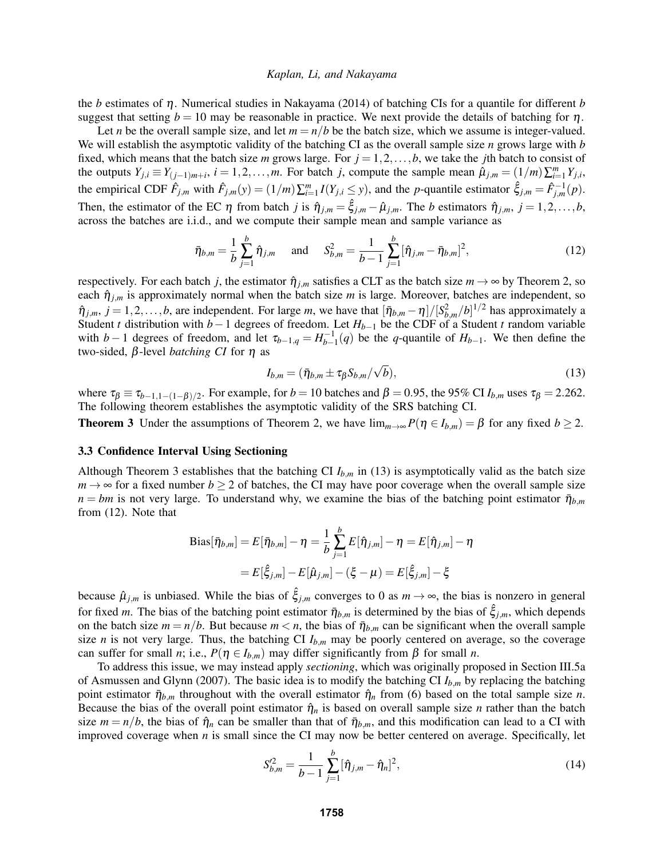the *b* estimates of η. Numerical studies in Nakayama (2014) of batching CIs for a quantile for different *b* suggest that setting  $b = 10$  may be reasonable in practice. We next provide the details of batching for  $\eta$ .

Let *n* be the overall sample size, and let  $m = n/b$  be the batch size, which we assume is integer-valued. We will establish the asymptotic validity of the batching CI as the overall sample size *n* grows large with *b* fixed, which means that the batch size *m* grows large. For  $j = 1, 2, \ldots, b$ , we take the *j*th batch to consist of the outputs  $Y_{j,i} \equiv Y_{(j-1)m+i}, i = 1, 2, ..., m$ . For batch j, compute the sample mean  $\hat{\mu}_{j,m} = (1/m)\sum_{i=1}^{m} Y_{j,i}$ , the empirical CDF  $\hat{F}_{j,m}$  with  $\hat{F}_{j,m}(y) = (1/m)\sum_{i=1}^{m} I(Y_{j,i} \le y)$ , and the *p*-quantile estimator  $\hat{\xi}_{j,m} = \hat{F}_{j,m}^{-1}(p)$ . Then, the estimator of the EC  $\eta$  from batch *j* is  $\hat{\eta}_{j,m} = \hat{\xi}_{j,m} - \hat{\mu}_{j,m}$ . The *b* estimators  $\hat{\eta}_{j,m}$ ,  $j = 1, 2, \dots, b$ , across the batches are i.i.d., and we compute their sample mean and sample variance as

$$
\bar{\eta}_{b,m} = \frac{1}{b} \sum_{j=1}^{b} \hat{\eta}_{j,m} \quad \text{and} \quad S_{b,m}^2 = \frac{1}{b-1} \sum_{j=1}^{b} [\hat{\eta}_{j,m} - \bar{\eta}_{b,m}]^2,
$$
\n(12)

respectively. For each batch *j*, the estimator  $\hat{\eta}_{i,m}$  satisfies a CLT as the batch size  $m \to \infty$  by Theorem 2, so each  $\hat{\eta}_{j,m}$  is approximately normal when the batch size *m* is large. Moreover, batches are independent, so  $\hat{\eta}_{j,m}, j = 1, 2, \ldots, b$ , are independent. For large *m*, we have that  $[\bar{\eta}_{b,m} - \eta]/[S_{b,m}^2/b]^{1/2}$  has approximately a Student *t* distribution with *b*−1 degrees of freedom. Let  $H_{b-1}$  be the CDF of a Student *t* random variable with *b*−1 degrees of freedom, and let  $\tau_{b-1,q} = H_{b-1}^{-1}(q)$  be the *q*-quantile of  $H_{b-1}$ . We then define the two-sided, β-level *batching CI* for η as

$$
I_{b,m} = (\bar{\eta}_{b,m} \pm \tau_{\beta} S_{b,m} / \sqrt{b}), \qquad (13)
$$

where  $\tau_{\beta} \equiv \tau_{b-1,1-(1-\beta)/2}$ . For example, for  $b=10$  batches and  $\beta=0.95$ , the 95% CI  $I_{b,m}$  uses  $\tau_{\beta}=2.262$ . The following theorem establishes the asymptotic validity of the SRS batching CI.

**Theorem 3** Under the assumptions of Theorem 2, we have  $\lim_{m\to\infty} P(\eta \in I_{b,m}) = \beta$  for any fixed  $b \ge 2$ .

## 3.3 Confidence Interval Using Sectioning

Although Theorem 3 establishes that the batching CI  $I_{b,m}$  in (13) is asymptotically valid as the batch size  $m \rightarrow \infty$  for a fixed number  $b \ge 2$  of batches, the CI may have poor coverage when the overall sample size  $n = bm$  is not very large. To understand why, we examine the bias of the batching point estimator  $\bar{\eta}_{b,m}$ from (12). Note that

Bias[
$$
\bar{\eta}_{b,m}
$$
] = E[ $\bar{\eta}_{b,m}$ ] -  $\eta$  =  $\frac{1}{b} \sum_{j=1}^{b} E[\hat{\eta}_{j,m}] - \eta$  = E[ $\hat{\eta}_{j,m}$ ] -  $\eta$   
= E[ $\hat{\xi}_{j,m}$ ] - E[ $\hat{\mu}_{j,m}$ ] - ( $\xi$  -  $\mu$ ) = E[ $\hat{\xi}_{j,m}$ ] -  $\xi$ 

because  $\hat{\mu}_{i,m}$  is unbiased. While the bias of  $\hat{\xi}_{i,m}$  converges to 0 as  $m \to \infty$ , the bias is nonzero in general for fixed *m*. The bias of the batching point estimator  $\bar{\eta}_{b,m}$  is determined by the bias of  $\hat{\xi}_{j,m}$ , which depends on the batch size  $m = n/b$ . But because  $m < n$ , the bias of  $\bar{\eta}_{b,m}$  can be significant when the overall sample size *n* is not very large. Thus, the batching CI  $I_{b,m}$  may be poorly centered on average, so the coverage can suffer for small *n*; i.e.,  $P(\eta \in I_{b,m})$  may differ significantly from  $\beta$  for small *n*.

To address this issue, we may instead apply *sectioning*, which was originally proposed in Section III.5a of Asmussen and Glynn (2007). The basic idea is to modify the batching CI *Ib*,*<sup>m</sup>* by replacing the batching point estimator  $\bar{\eta}_{b,m}$  throughout with the overall estimator  $\hat{\eta}_n$  from (6) based on the total sample size *n*. Because the bias of the overall point estimator  $\hat{\eta}_n$  is based on overall sample size *n* rather than the batch size  $m = n/b$ , the bias of  $\hat{\eta}_n$  can be smaller than that of  $\bar{\eta}_{b,m}$ , and this modification can lead to a CI with improved coverage when *n* is small since the CI may now be better centered on average. Specifically, let

$$
S_{b,m}^{\prime 2} = \frac{1}{b-1} \sum_{j=1}^{b} [\hat{\eta}_{j,m} - \hat{\eta}_n]^2,
$$
\n(14)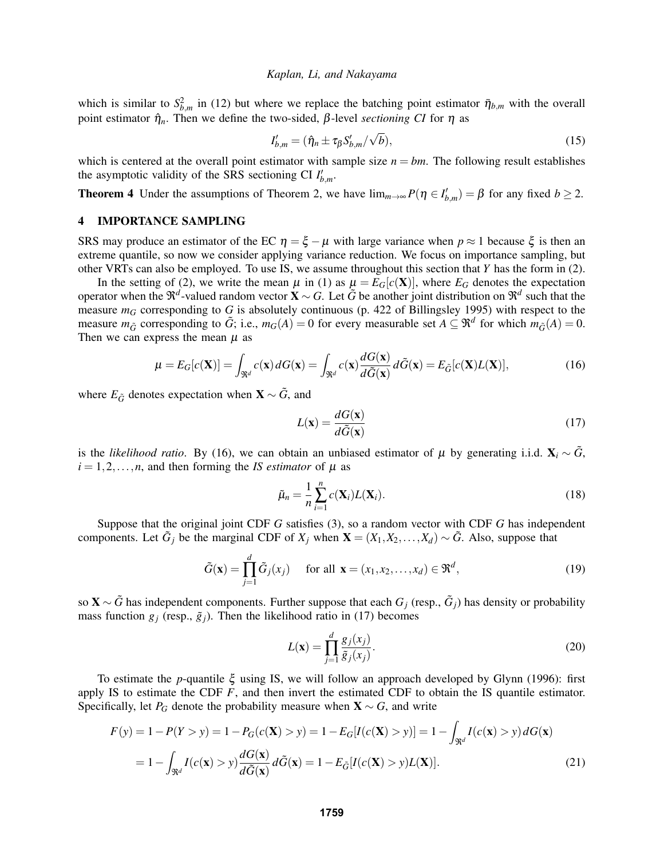which is similar to  $S_{b,m}^2$  in (12) but where we replace the batching point estimator  $\bar{\eta}_{b,m}$  with the overall point estimator  $η<sub>n</sub>$ . Then we define the two-sided,  $β$ -level *sectioning CI* for  $η$  as

$$
I'_{b,m} = (\hat{\eta}_n \pm \tau_\beta S'_{b,m}/\sqrt{b}),\tag{15}
$$

which is centered at the overall point estimator with sample size  $n = bm$ . The following result establishes the asymptotic validity of the SRS sectioning CI  $I'_{b,m}$ .

**Theorem 4** Under the assumptions of Theorem 2, we have  $\lim_{m\to\infty} P(\eta \in I'_{b,m}) = \beta$  for any fixed  $b \ge 2$ .

## 4 IMPORTANCE SAMPLING

SRS may produce an estimator of the EC  $\eta = \xi - \mu$  with large variance when  $p \approx 1$  because  $\xi$  is then an extreme quantile, so now we consider applying variance reduction. We focus on importance sampling, but other VRTs can also be employed. To use IS, we assume throughout this section that *Y* has the form in (2).

In the setting of (2), we write the mean  $\mu$  in (1) as  $\mu = E_G[c(\mathbf{X})]$ , where  $E_G$  denotes the expectation operator when the  $\Re^d$ -valued random vector **X** ∼ *G*. Let  $\tilde{G}$  be another joint distribution on  $\Re^d$  such that the measure  $m<sub>G</sub>$  corresponding to *G* is absolutely continuous (p. 422 of Billingsley 1995) with respect to the measure  $m_{\tilde{G}}$  corresponding to  $\tilde{G}$ ; i.e.,  $m_G(A) = 0$  for every measurable set  $A \subseteq \mathbb{R}^d$  for which  $m_{\tilde{G}}(A) = 0$ . Then we can express the mean  $\mu$  as

$$
\mu = E_G[c(\mathbf{X})] = \int_{\mathfrak{R}^d} c(\mathbf{x}) dG(\mathbf{x}) = \int_{\mathfrak{R}^d} c(\mathbf{x}) \frac{dG(\mathbf{x})}{d\tilde{G}(\mathbf{x})} d\tilde{G}(\mathbf{x}) = E_{\tilde{G}}[c(\mathbf{X})L(\mathbf{X})],
$$
(16)

where  $E_{\tilde{G}}$  denotes expectation when  $\mathbf{X} \sim \tilde{G}$ , and

$$
L(\mathbf{x}) = \frac{dG(\mathbf{x})}{d\tilde{G}(\mathbf{x})}
$$
(17)

is the *likelihood ratio*. By (16), we can obtain an unbiased estimator of  $\mu$  by generating i.i.d.  $\mathbf{X}_i \sim \tilde{G}$ ,  $i = 1, 2, \ldots, n$ , and then forming the *IS estimator* of  $\mu$  as

$$
\tilde{\mu}_n = \frac{1}{n} \sum_{i=1}^n c(\mathbf{X}_i) L(\mathbf{X}_i).
$$
\n(18)

Suppose that the original joint CDF *G* satisfies (3), so a random vector with CDF *G* has independent components. Let  $\tilde{G}_j$  be the marginal CDF of  $X_j$  when  $\mathbf{X} = (X_1, X_2, \dots, X_d) \sim \tilde{G}$ . Also, suppose that

$$
\tilde{G}(\mathbf{x}) = \prod_{j=1}^{d} \tilde{G}_j(x_j) \quad \text{for all } \mathbf{x} = (x_1, x_2, \dots, x_d) \in \mathfrak{R}^d,
$$
\n(19)

so X ∼ *G*˜ has independent components. Further suppose that each *G<sup>j</sup>* (resp., *G*˜ *<sup>j</sup>*) has density or probability mass function  $g_j$  (resp.,  $\tilde{g}_j$ ). Then the likelihood ratio in (17) becomes

$$
L(\mathbf{x}) = \prod_{j=1}^{d} \frac{g_j(x_j)}{\tilde{g}_j(x_j)}.
$$
 (20)

To estimate the *p*-quantile ξ using IS, we will follow an approach developed by Glynn (1996): first apply IS to estimate the CDF *F*, and then invert the estimated CDF to obtain the IS quantile estimator. Specifically, let  $P_G$  denote the probability measure when  $X \sim G$ , and write

$$
F(y) = 1 - P(Y > y) = 1 - P_G(c(\mathbf{X}) > y) = 1 - E_G[I(c(\mathbf{X}) > y)] = 1 - \int_{\mathfrak{R}^d} I(c(\mathbf{x}) > y) dG(\mathbf{x})
$$

$$
= 1 - \int_{\mathfrak{R}^d} I(c(\mathbf{x}) > y) \frac{dG(\mathbf{x})}{d\tilde{G}(\mathbf{x})} d\tilde{G}(\mathbf{x}) = 1 - E_{\tilde{G}}[I(c(\mathbf{X}) > y)L(\mathbf{X})].
$$
(21)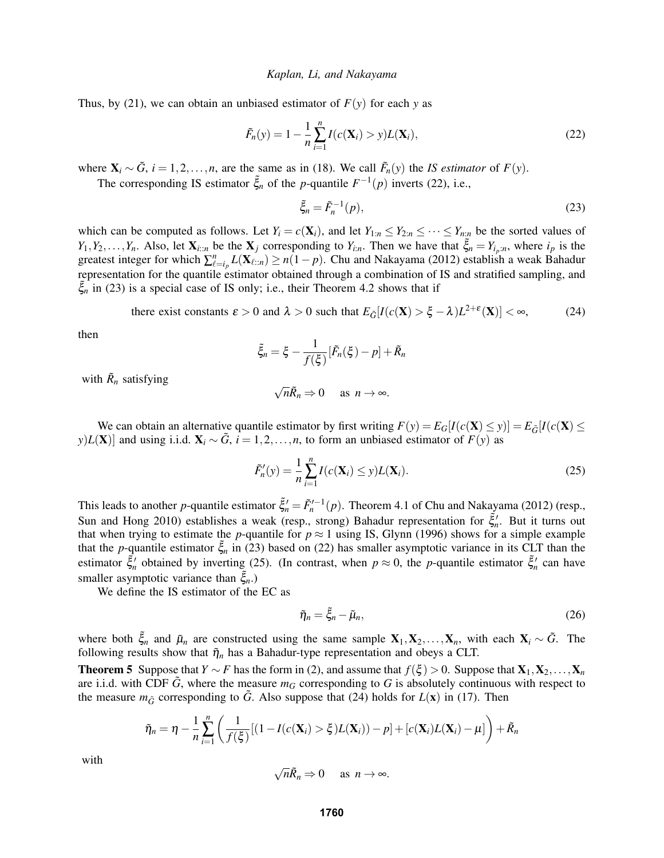Thus, by (21), we can obtain an unbiased estimator of  $F(y)$  for each y as

$$
\tilde{F}_n(y) = 1 - \frac{1}{n} \sum_{i=1}^n I(c(\mathbf{X}_i) > y) L(\mathbf{X}_i),
$$
\n(22)

where  $X_i \sim \tilde{G}$ ,  $i = 1, 2, ..., n$ , are the same as in (18). We call  $\tilde{F}_n(y)$  the *IS estimator* of  $F(y)$ .

The corresponding IS estimator  $\tilde{\xi}_n$  of the *p*-quantile  $F^{-1}(p)$  inverts (22), i.e.,

$$
\tilde{\xi}_n = \tilde{F}_n^{-1}(p),\tag{23}
$$

which can be computed as follows. Let  $Y_i = c(\mathbf{X}_i)$ , and let  $Y_{1:n} \leq Y_{2:n} \leq \cdots \leq Y_{n:n}$  be the sorted values of  $Y_1, Y_2, \ldots, Y_n$ . Also, let  $\mathbf{X}_{i::n}$  be the  $\mathbf{X}_j$  corresponding to  $Y_{i:n}$ . Then we have that  $\tilde{\xi}_n = Y_{i_p:n}$ , where  $i_p$  is the greatest integer for which  $\sum_{\ell=i_p}^n L(\mathbf{X}_{\ell:n}) \ge n(1-p)$ . Chu and Nakayama (2012) establish a weak Bahadur representation for the quantile estimator obtained through a combination of IS and stratified sampling, and ˜ξ*<sup>n</sup>* in (23) is a special case of IS only; i.e., their Theorem 4.2 shows that if

there exist constants  $\varepsilon > 0$  and  $\lambda > 0$  such that  $E_{\tilde{G}}[I(c(\mathbf{X}) > \xi - \lambda)L^{2+\varepsilon}(\mathbf{X})] < \infty$ , (24)

then

$$
\tilde{\xi}_n = \xi - \frac{1}{f(\xi)} [\tilde{F}_n(\xi) - p] + \tilde{R}_n
$$

with  $\tilde{R}_n$  satisfying

$$
\sqrt{n}\tilde{R}_n \Rightarrow 0 \quad \text{as } n \to \infty.
$$

We can obtain an alternative quantile estimator by first writing  $F(y) = E_G[I(c(\mathbf{X}) \le y)] = E_{\tilde{G}}[I(c(\mathbf{X}) \le y)]$ *y*)*L*(**X**)] and using i.i.d.  $\mathbf{X}_i \sim \tilde{G}$ ,  $i = 1, 2, ..., n$ , to form an unbiased estimator of *F*(*y*) as

$$
\tilde{F}'_n(y) = \frac{1}{n} \sum_{i=1}^n I(c(\mathbf{X}_i) \le y) L(\mathbf{X}_i).
$$
\n(25)

This leads to another *p*-quantile estimator  $\tilde{\xi}'_n = \tilde{F}'_n^{-1}(p)$ . Theorem 4.1 of Chu and Nakayama (2012) (resp., Sun and Hong 2010) establishes a weak (resp., strong) Bahadur representation for  $\tilde{\xi}'_n$ . But it turns out that when trying to estimate the *p*-quantile for  $p \approx 1$  using IS, Glynn (1996) shows for a simple example that the *p*-quantile estimator  $\tilde{\xi}_n$  in (23) based on (22) has smaller asymptotic variance in its CLT than the estimator  $\tilde{\xi}'_n$  obtained by inverting (25). (In contrast, when  $p \approx 0$ , the *p*-quantile estimator  $\tilde{\xi}'_n$  can have smaller asymptotic variance than  $\zeta_{n}$ .)

We define the IS estimator of the EC as

$$
\tilde{\eta}_n = \tilde{\xi}_n - \tilde{\mu}_n,\tag{26}
$$

where both  $\tilde{\xi}_n$  and  $\tilde{\mu}_n$  are constructed using the same sample  $X_1, X_2, \ldots, X_n$ , with each  $X_i \sim \tilde{G}$ . The following results show that  $\tilde{\eta}_n$  has a Bahadur-type representation and obeys a CLT.

**Theorem 5** Suppose that *Y* ∼ *F* has the form in (2), and assume that  $f(\xi) > 0$ . Suppose that  $X_1, X_2, ..., X_n$ are i.i.d. with CDF  $G$ , where the measure  $m<sub>G</sub>$  corresponding to  $G$  is absolutely continuous with respect to the measure  $m_{\tilde{G}}$  corresponding to  $\tilde{G}$ . Also suppose that (24) holds for  $L(\mathbf{x})$  in (17). Then

$$
\tilde{\eta}_n = \eta - \frac{1}{n} \sum_{i=1}^n \left( \frac{1}{f(\xi)} [(1 - I(c(\mathbf{X}_i) > \xi) L(\mathbf{X}_i)) - p] + [c(\mathbf{X}_i) L(\mathbf{X}_i) - \mu] \right) + \tilde{R}_n
$$

with

$$
\sqrt{n}\tilde{R}_n \Rightarrow 0 \quad \text{as } n \to \infty.
$$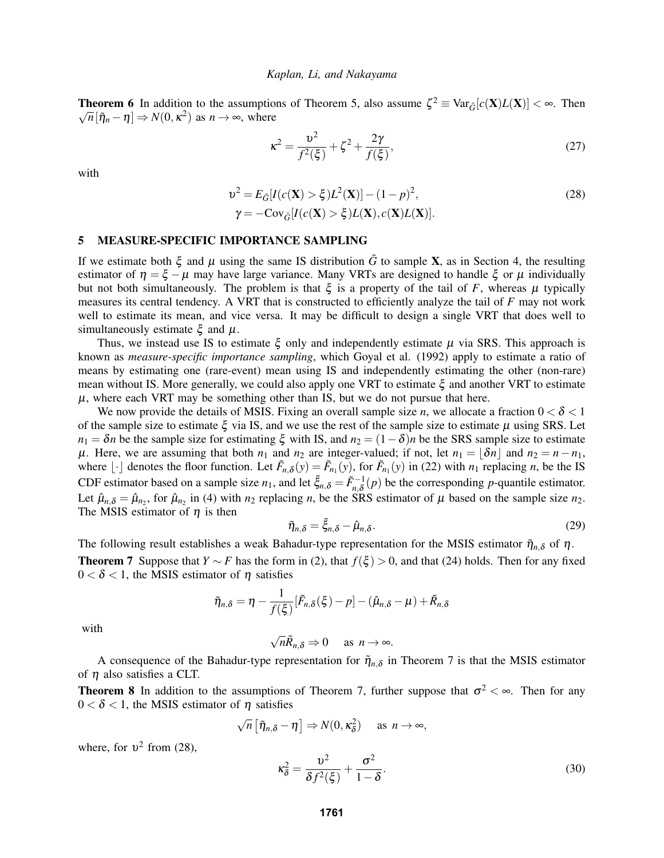**Theorem 6** In addition to the assumptions of Theorem 5, also assume  $\zeta^2 \equiv \text{Var}_{\tilde{G}}[c(\mathbf{X})L(\mathbf{X})] < \infty$ . Then  $\overline{n}[\tilde{\eta}_n - \eta] \Rightarrow N(0, \kappa^2)$  as  $n \to \infty$ , where

$$
\kappa^2 = \frac{\nu^2}{f^2(\xi)} + \zeta^2 + \frac{2\gamma}{f(\xi)},
$$
\n(27)

with

$$
v2 = E_{\tilde{G}}[I(c(\mathbf{X}) > \xi)L2(\mathbf{X})] - (1 - p)2,
$$
  
\n
$$
\gamma = -\text{Cov}_{\tilde{G}}[I(c(\mathbf{X}) > \xi)L(\mathbf{X}), c(\mathbf{X})L(\mathbf{X})].
$$
\n(28)

### 5 MEASURE-SPECIFIC IMPORTANCE SAMPLING

If we estimate both  $\xi$  and  $\mu$  using the same IS distribution  $\tilde{G}$  to sample **X**, as in Section 4, the resulting estimator of  $\eta = \xi - \mu$  may have large variance. Many VRTs are designed to handle  $\xi$  or  $\mu$  individually but not both simultaneously. The problem is that  $\xi$  is a property of the tail of *F*, whereas  $\mu$  typically measures its central tendency. A VRT that is constructed to efficiently analyze the tail of *F* may not work well to estimate its mean, and vice versa. It may be difficult to design a single VRT that does well to simultaneously estimate  $\xi$  and  $\mu$ .

Thus, we instead use IS to estimate  $\xi$  only and independently estimate  $\mu$  via SRS. This approach is known as *measure-specific importance sampling*, which Goyal et al. (1992) apply to estimate a ratio of means by estimating one (rare-event) mean using IS and independently estimating the other (non-rare) mean without IS. More generally, we could also apply one VRT to estimate ξ and another VRT to estimate  $\mu$ , where each VRT may be something other than IS, but we do not pursue that here.

We now provide the details of MSIS. Fixing an overall sample size *n*, we allocate a fraction  $0 < \delta < 1$ of the sample size to estimate  $\xi$  via IS, and we use the rest of the sample size to estimate  $\mu$  using SRS. Let  $n_1 = \delta n$  be the sample size for estimating  $\xi$  with IS, and  $n_2 = (1-\delta)n$  be the SRS sample size to estimate  $\mu$ . Here, we are assuming that both  $n_1$  and  $n_2$  are integer-valued; if not, let  $n_1 = |\delta n|$  and  $n_2 = n - n_1$ , where  $\lfloor \cdot \rfloor$  denotes the floor function. Let  $\tilde{F}_{n,\delta}(y) = \tilde{F}_{n_1}(y)$ , for  $\tilde{F}_{n_1}(y)$  in (22) with  $n_1$  replacing *n*, be the IS CDF estimator based on a sample size  $n_1$ , and let  $\tilde{\xi}_{n,\delta} = \tilde{F}_{n,\delta}^{-1}(p)$  be the corresponding *p*-quantile estimator. Let  $\hat{\mu}_{n,\delta} = \hat{\mu}_{n_2}$ , for  $\hat{\mu}_{n_2}$  in (4) with  $n_2$  replacing *n*, be the SRS estimator of  $\mu$  based on the sample size  $n_2$ . The MSIS estimator of  $\eta$  is then

$$
\tilde{\eta}_{n,\delta} = \tilde{\xi}_{n,\delta} - \hat{\mu}_{n,\delta}.
$$
\n(29)

The following result establishes a weak Bahadur-type representation for the MSIS estimator  $\tilde{\eta}_{n,\delta}$  of  $\eta$ . **Theorem 7** Suppose that *Y* ∼ *F* has the form in (2), that  $f(\xi) > 0$ , and that (24) holds. Then for any fixed  $0 < \delta < 1$ , the MSIS estimator of  $\eta$  satisfies

$$
\tilde{\eta}_{n,\delta} = \eta - \frac{1}{f(\xi)} [\tilde{F}_{n,\delta}(\xi) - p] - (\hat{\mu}_{n,\delta} - \mu) + \tilde{R}_{n,\delta}
$$

with

$$
\sqrt{n}\tilde{R}_{n,\delta} \Rightarrow 0 \quad \text{as } n \to \infty.
$$

A consequence of the Bahadur-type representation for  $\tilde{\eta}_{n,\delta}$  in Theorem 7 is that the MSIS estimator of  $\eta$  also satisfies a CLT.

**Theorem 8** In addition to the assumptions of Theorem 7, further suppose that  $\sigma^2 < \infty$ . Then for any  $0 < \delta < 1$ , the MSIS estimator of  $\eta$  satisfies

$$
\sqrt{n}\left[\tilde{\eta}_{n,\delta}-\eta\right]\Rightarrow N(0,\kappa_{\delta}^2)\quad\text{ as }n\to\infty,
$$

where, for  $v^2$  from (28),

$$
\kappa_{\delta}^2 = \frac{v^2}{\delta f^2(\xi)} + \frac{\sigma^2}{1 - \delta}.
$$
\n(30)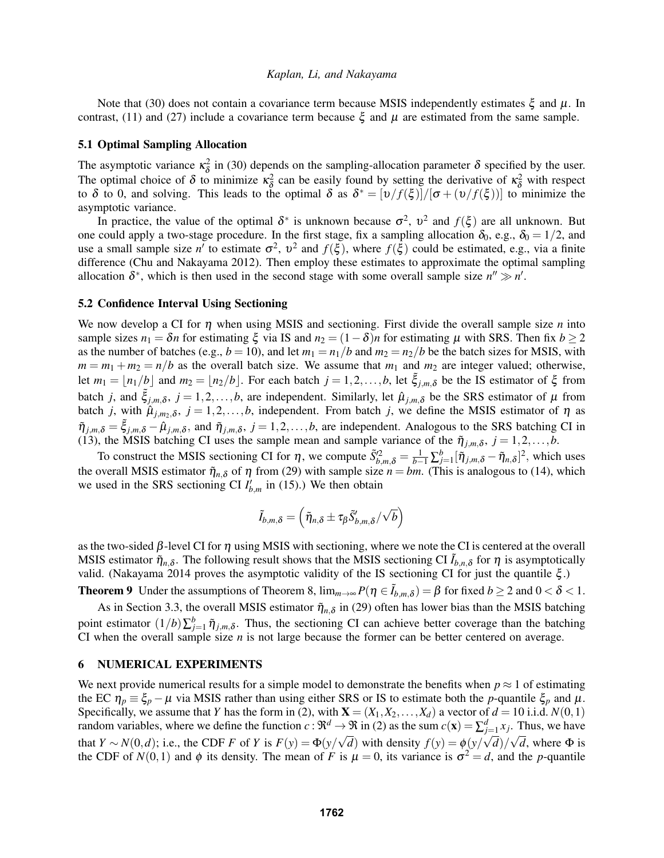Note that (30) does not contain a covariance term because MSIS independently estimates  $\xi$  and  $\mu$ . In contrast, (11) and (27) include a covariance term because  $\xi$  and  $\mu$  are estimated from the same sample.

### 5.1 Optimal Sampling Allocation

The asymptotic variance  $\kappa_{\delta}^2$  $\frac{d^2}{d\delta}$  in (30) depends on the sampling-allocation parameter  $\delta$  specified by the user. The optimal choice of  $\delta$  to minimize  $\kappa_{\delta}^2$  $\frac{2}{\delta}$  can be easily found by setting the derivative of  $\kappa^2$  with respect to δ to 0, and solving. This leads to the optimal δ as  $\delta^* = [\nu/f(\xi)]/[\sigma + (\nu/f(\xi))]$  to minimize the asymptotic variance.

In practice, the value of the optimal  $\delta^*$  is unknown because  $\sigma^2$ ,  $v^2$  and  $f(\xi)$  are all unknown. But one could apply a two-stage procedure. In the first stage, fix a sampling allocation  $\delta_0$ , e.g.,  $\delta_0 = 1/2$ , and use a small sample size  $n'$  to estimate  $\sigma^2$ ,  $v^2$  and  $f(\xi)$ , where  $f(\xi)$  could be estimated, e.g., via a finite difference (Chu and Nakayama 2012). Then employ these estimates to approximate the optimal sampling allocation  $\delta^*$ , which is then used in the second stage with some overall sample size  $n'' \gg n'$ .

### 5.2 Confidence Interval Using Sectioning

We now develop a CI for  $\eta$  when using MSIS and sectioning. First divide the overall sample size  $n$  into sample sizes  $n_1 = \delta n$  for estimating  $\xi$  via IS and  $n_2 = (1-\delta)n$  for estimating  $\mu$  with SRS. Then fix  $b \ge 2$ as the number of batches (e.g.,  $b = 10$ ), and let  $m_1 = n_1/b$  and  $m_2 = n_2/b$  be the batch sizes for MSIS, with  $m = m_1 + m_2 = n/b$  as the overall batch size. We assume that  $m_1$  and  $m_2$  are integer valued; otherwise, let  $m_1 = \lfloor n_1/b \rfloor$  and  $m_2 = \lfloor n_2/b \rfloor$ . For each batch  $j = 1, 2, ..., b$ , let  $\tilde{\xi}_{j,m,\delta}$  be the IS estimator of  $\xi$  from batch *j*, and  $\tilde{\xi}_{j,m,\delta}$ ,  $j = 1,2,\ldots,b$ , are independent. Similarly, let  $\hat{\mu}_{j,m,\delta}$  be the SRS estimator of  $\mu$  from batch *j*, with  $\hat{\mu}_{j,m_2,\delta}$ ,  $j = 1,2,...,b$ , independent. From batch *j*, we define the MSIS estimator of  $\eta$  as  $\tilde{\eta}_{j,m,\delta} = \tilde{\xi}_{j,m,\delta} - \hat{\mu}_{j,m,\delta}$ , and  $\tilde{\eta}_{j,m,\delta}$ ,  $j = 1,2,\ldots,b$ , are independent. Analogous to the SRS batching CI in (13), the MSIS batching CI uses the sample mean and sample variance of the  $\tilde{\eta}_{j,m,\delta}$ ,  $j = 1,2,...,b$ .

To construct the MSIS sectioning CI for  $\eta$ , we compute  $\tilde{S}_{b,m,\delta}^2 = \frac{1}{b-1} \sum_{j=1}^b [\tilde{\eta}_{j,m,\delta} - \tilde{\eta}_{n,\delta}]^2$ , which uses the overall MSIS estimator  $\tilde{\eta}_{n,\delta}$  of  $\eta$  from (29) with sample size  $n = bm$ . (This is analogous to (14), which we used in the SRS sectioning CI  $I'_{b,m}$  in (15).) We then obtain

$$
\tilde{I}_{b,m,\delta}=\left(\tilde{\eta}_{n,\delta}\pm\tau_{\beta}\tilde{S}_{b,m,\delta}'/\sqrt{b}\right)
$$

as the two-sided  $\beta$ -level CI for  $\eta$  using MSIS with sectioning, where we note the CI is centered at the overall MSIS estimator  $\tilde{\eta}_{n,\delta}$ . The following result shows that the MSIS sectioning CI  $\tilde{I}_{b,n,\delta}$  for  $\eta$  is asymptotically valid. (Nakayama 2014 proves the asymptotic validity of the IS sectioning CI for just the quantile ξ .)

**Theorem 9** Under the assumptions of Theorem 8,  $\lim_{m\to\infty} P(\eta \in \tilde{I}_{b,m,\delta}) = \beta$  for fixed  $b \ge 2$  and  $0 < \delta < 1$ .

As in Section 3.3, the overall MSIS estimator  $\tilde{\eta}_{n,\delta}$  in (29) often has lower bias than the MSIS batching point estimator  $(1/b)\sum_{j=1}^{b} \tilde{\eta}_{j,m,\delta}$ . Thus, the sectioning CI can achieve better coverage than the batching CI when the overall sample size *n* is not large because the former can be better centered on average.

### 6 NUMERICAL EXPERIMENTS

We next provide numerical results for a simple model to demonstrate the benefits when  $p \approx 1$  of estimating the EC  $\eta_p \equiv \xi_p - \mu$  via MSIS rather than using either SRS or IS to estimate both the *p*-quantile  $\xi_p$  and  $\mu$ . Specifically, we assume that *Y* has the form in (2), with  $X = (X_1, X_2, \ldots, X_d)$  a vector of  $d = 10$  i.i.d.  $N(0, 1)$ random variables, where we define the function  $c : \mathfrak{R}^d \to \mathfrak{R}$  in (2) as the sum  $c(\mathbf{x}) = \sum_{j=1}^d x_j$ . Thus, we have that  $Y \sim N(0, d)$ ; i.e., the CDF *F* of *Y* is  $F(y) = \Phi(y/\sqrt{d})$  with density  $f(y) = \phi(y/\sqrt{d})/\sqrt{d}$ , where  $\Phi$  is the CDF of  $N(0, 1)$  and  $\phi$  its density. The mean of *F* is  $\mu = 0$ , its variance is  $\sigma^2 = d$ , and the *p*-quantile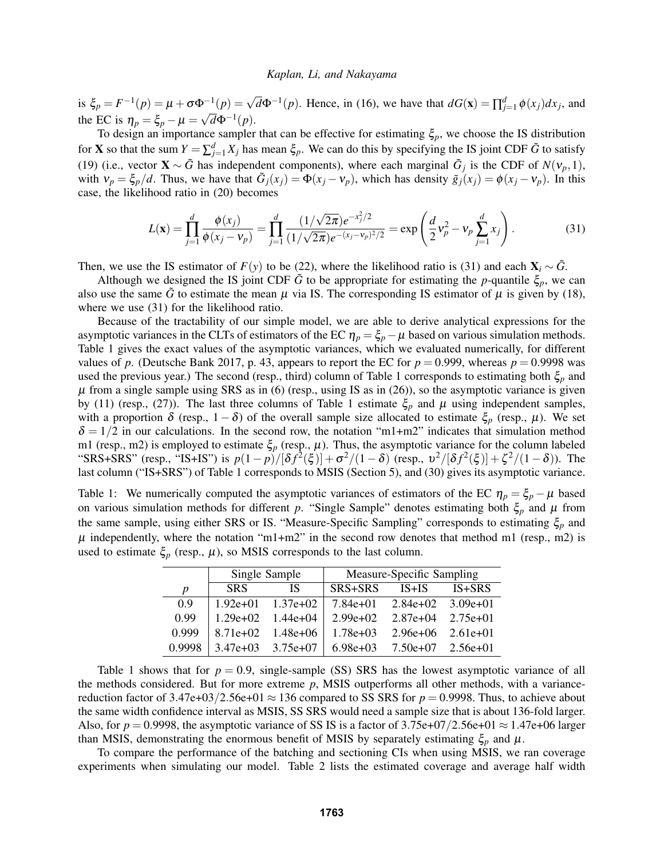is  $\xi_p = F^{-1}(p) = \mu + \sigma \Phi^{-1}(p) = \sqrt{d} \Phi^{-1}(p)$ . Hence, in (16), we have that  $dG(\mathbf{x}) = \prod_{j=1}^d \phi(x_j) dx_j$ , and the EC is  $\eta_p = \xi_p - \mu = \sqrt{d}\Phi^{-1}(p)$ .

To design an importance sampler that can be effective for estimating  $\xi_p$ , we choose the IS distribution for **X** so that the sum  $Y = \sum_{j=1}^{d} X_j$  has mean  $\xi_p$ . We can do this by specifying the IS joint CDF  $\tilde{G}$  to satisfy (19) (i.e., vector  $\mathbf{X} \sim \tilde{G}$  has independent components), where each marginal  $\tilde{G}_j$  is the CDF of  $N(v_p, 1)$ , with  $v_p = \xi_p/d$ . Thus, we have that  $\tilde{G}_j(x_j) = \Phi(x_j - v_p)$ , which has density  $\tilde{g}_j(x_j) = \phi(x_j - v_p)$ . In this case, the likelihood ratio in (20) becomes

$$
L(\mathbf{x}) = \prod_{j=1}^{d} \frac{\phi(x_j)}{\phi(x_j - v_p)} = \prod_{j=1}^{d} \frac{(1/\sqrt{2\pi})e^{-x_j^2/2}}{(1/\sqrt{2\pi})e^{-(x_j - v_p)^2/2}} = \exp\left(\frac{d}{2}v_p^2 - v_p\sum_{j=1}^{d}x_j\right).
$$
(31)

Then, we use the IS estimator of  $F(y)$  to be (22), where the likelihood ratio is (31) and each  $\mathbf{X}_i \sim \tilde{G}$ .

Although we designed the IS joint CDF  $\tilde{G}$  to be appropriate for estimating the *p*-quantile  $\xi_p$ , we can also use the same  $\tilde{G}$  to estimate the mean  $\mu$  via IS. The corresponding IS estimator of  $\mu$  is given by (18), where we use  $(31)$  for the likelihood ratio.

Because of the tractability of our simple model, we are able to derive analytical expressions for the asymptotic variances in the CLTs of estimators of the EC  $\eta_p = \xi_p - \mu$  based on various simulation methods. Table 1 gives the exact values of the asymptotic variances, which we evaluated numerically, for different values of p. (Deutsche Bank 2017, p. 43, appears to report the EC for  $p = 0.999$ , whereas  $p = 0.9998$  was used the previous year.) The second (resp., third) column of Table 1 corresponds to estimating both ξ*<sup>p</sup>* and  $\mu$  from a single sample using SRS as in (6) (resp., using IS as in (26)), so the asymptotic variance is given by (11) (resp., (27)). The last three columns of Table 1 estimate  $\xi_p$  and  $\mu$  using independent samples, with a proportion  $\delta$  (resp., 1– $\delta$ ) of the overall sample size allocated to estimate  $\xi_p$  (resp.,  $\mu$ ). We set  $\delta = 1/2$  in our calculations. In the second row, the notation "m1+m2" indicates that simulation method m1 (resp., m2) is employed to estimate  $\xi_p$  (resp.,  $\mu$ ). Thus, the asymptotic variance for the column labeled "SRS+SRS" (resp., "IS+IS") is  $p(1-p)/[\delta f^2(\xi)] + \sigma^2/(1-\delta)$  (resp.,  $v^2/[\delta f^2(\xi)] + \xi^2/(1-\delta)$ ). The last column ("IS+SRS") of Table 1 corresponds to MSIS (Section 5), and (30) gives its asymptotic variance.

Table 1: We numerically computed the asymptotic variances of estimators of the EC  $\eta_p = \xi_p - \mu$  based on various simulation methods for different *p*. "Single Sample" denotes estimating both  $\xi_p$  and  $\mu$  from the same sample, using either SRS or IS. "Measure-Specific Sampling" corresponds to estimating ξ*<sup>p</sup>* and  $\mu$  independently, where the notation "m1+m2" in the second row denotes that method m1 (resp., m2) is used to estimate  $\xi_p$  (resp.,  $\mu$ ), so MSIS corresponds to the last column.

|        | Single Sample |                       | Measure-Specific Sampling |                                  |          |
|--------|---------------|-----------------------|---------------------------|----------------------------------|----------|
| p      | SRS.          | ΙS                    | SRS+SRS                   | $IS+IS$                          | $IS+SRS$ |
| 0.9    |               | $1.92e+01$ $1.37e+02$ |                           | $7.84e+01$ $2.84e+02$ $3.09e+01$ |          |
| 0.99   | $1.29e+02$    | $1.44e+04$            | $2.99e+02$                | $2.87e+04$ $2.75e+01$            |          |
| 0.999  |               | $8.71e+02$ 1.48e+06   | $1.78e+03$                | $2.96e+06$ $2.61e+01$            |          |
| 0.9998 |               | $3.47e+03$ $3.75e+07$ | $6.98e+03$                | $7.50e+07$ $2.56e+01$            |          |

Table 1 shows that for  $p = 0.9$ , single-sample (SS) SRS has the lowest asymptotic variance of all the methods considered. But for more extreme *p*, MSIS outperforms all other methods, with a variancereduction factor of  $3.47e+03/2.56e+01 \approx 136$  compared to SS SRS for  $p = 0.9998$ . Thus, to achieve about the same width confidence interval as MSIS, SS SRS would need a sample size that is about 136-fold larger. Also, for  $p = 0.9998$ , the asymptotic variance of SS IS is a factor of 3.75e+07/2.56e+01  $\approx$  1.47e+06 larger than MSIS, demonstrating the enormous benefit of MSIS by separately estimating  $\xi_p$  and  $\mu$ .

To compare the performance of the batching and sectioning CIs when using MSIS, we ran coverage experiments when simulating our model. Table 2 lists the estimated coverage and average half width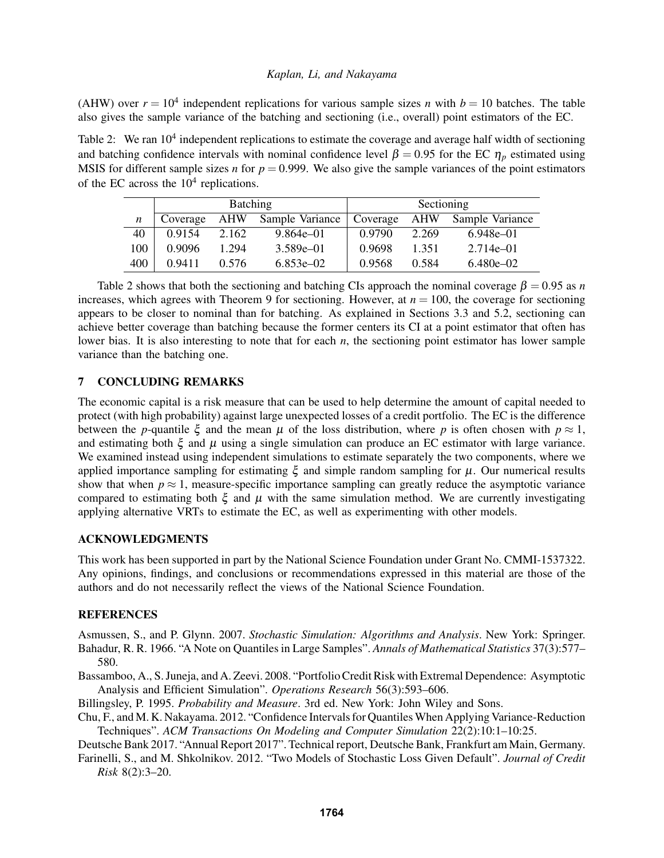(AHW) over  $r = 10^4$  independent replications for various sample sizes *n* with  $b = 10$  batches. The table also gives the sample variance of the batching and sectioning (i.e., overall) point estimators of the EC.

Table 2: We ran  $10^4$  independent replications to estimate the coverage and average half width of sectioning and batching confidence intervals with nominal confidence level  $\beta = 0.95$  for the EC  $\eta_p$  estimated using MSIS for different sample sizes *n* for  $p = 0.999$ . We also give the sample variances of the point estimators of the EC across the  $10<sup>4</sup>$  replications.

|                  | <b>Batching</b> |       |                 | Sectioning |       |                 |
|------------------|-----------------|-------|-----------------|------------|-------|-----------------|
| $\boldsymbol{n}$ | Coverage        | AHW   | Sample Variance | Coverage   | AHW   | Sample Variance |
| 40               | 0.9154          | 2.162 | 9.864e–01       | 0.9790     | 2.269 | $6.948e - 01$   |
| 100              | 0.9096          | 1.294 | $3.589e - 01$   | 0.9698     | 1.351 | $2.714e - 01$   |
| 400              | 0.9411          | 0.576 | $6.853e - 02$   | 0.9568     | 0.584 | $6.480e - 02$   |

Table 2 shows that both the sectioning and batching CIs approach the nominal coverage  $\beta = 0.95$  as *n* increases, which agrees with Theorem 9 for sectioning. However, at  $n = 100$ , the coverage for sectioning appears to be closer to nominal than for batching. As explained in Sections 3.3 and 5.2, sectioning can achieve better coverage than batching because the former centers its CI at a point estimator that often has lower bias. It is also interesting to note that for each *n*, the sectioning point estimator has lower sample variance than the batching one.

# 7 CONCLUDING REMARKS

The economic capital is a risk measure that can be used to help determine the amount of capital needed to protect (with high probability) against large unexpected losses of a credit portfolio. The EC is the difference between the *p*-quantile  $\xi$  and the mean  $\mu$  of the loss distribution, where *p* is often chosen with  $p \approx 1$ , and estimating both  $\xi$  and  $\mu$  using a single simulation can produce an EC estimator with large variance. We examined instead using independent simulations to estimate separately the two components, where we applied importance sampling for estimating  $\xi$  and simple random sampling for  $\mu$ . Our numerical results show that when  $p \approx 1$ , measure-specific importance sampling can greatly reduce the asymptotic variance compared to estimating both  $\xi$  and  $\mu$  with the same simulation method. We are currently investigating applying alternative VRTs to estimate the EC, as well as experimenting with other models.

# ACKNOWLEDGMENTS

This work has been supported in part by the National Science Foundation under Grant No. CMMI-1537322. Any opinions, findings, and conclusions or recommendations expressed in this material are those of the authors and do not necessarily reflect the views of the National Science Foundation.

## **REFERENCES**

Asmussen, S., and P. Glynn. 2007. *Stochastic Simulation: Algorithms and Analysis*. New York: Springer. Bahadur, R. R. 1966. "A Note on Quantiles in Large Samples". *Annals of Mathematical Statistics* 37(3):577– 580.

Bassamboo, A., S. Juneja, and A. Zeevi. 2008. "Portfolio Credit Risk with Extremal Dependence: Asymptotic Analysis and Efficient Simulation". *Operations Research* 56(3):593–606.

Billingsley, P. 1995. *Probability and Measure*. 3rd ed. New York: John Wiley and Sons.

Chu, F., and M. K. Nakayama. 2012. "Confidence Intervals for QuantilesWhen Applying Variance-Reduction Techniques". *ACM Transactions On Modeling and Computer Simulation* 22(2):10:1–10:25.

Deutsche Bank 2017. "Annual Report 2017". Technical report, Deutsche Bank, Frankfurt am Main, Germany. Farinelli, S., and M. Shkolnikov. 2012. "Two Models of Stochastic Loss Given Default". *Journal of Credit*

*Risk* 8(2):3–20.